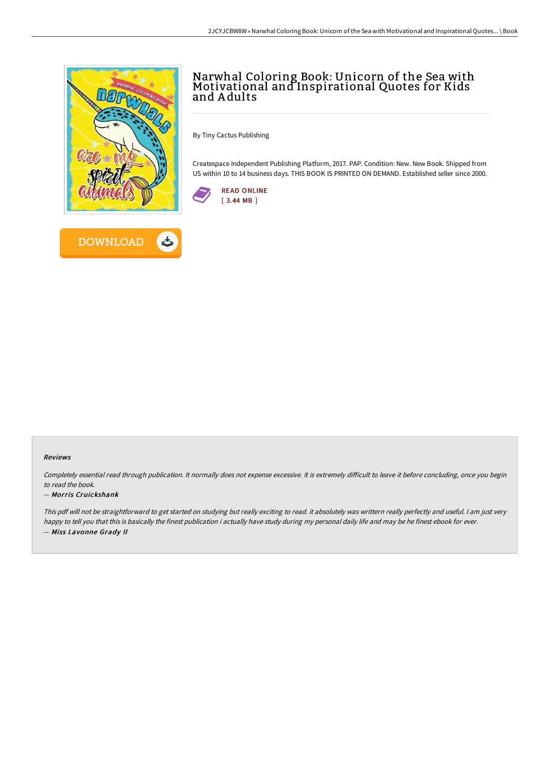

**DOWNLOAD** 



By Tiny Cactus Publishing

Createspace Independent Publishing Platform, 2017. PAP. Condition: New. New Book. Shipped from US within 10 to 14 business days. THIS BOOK IS PRINTED ON DEMAND. Established seller since 2000.



## Reviews

Completely essential read through publication. It normally does not expense excessive. It is extremely difficult to leave it before concluding, once you begin to read the book.

## -- Morris Cruickshank

This pdf will not be straightforward to get started on studying but really exciting to read. it absolutely was writtern really perfectly and useful. <sup>I</sup> am just very happy to tell you that this is basically the finest publication i actually have study during my personal daily life and may be he finest ebook for ever. -- Miss Lavonne Grady II